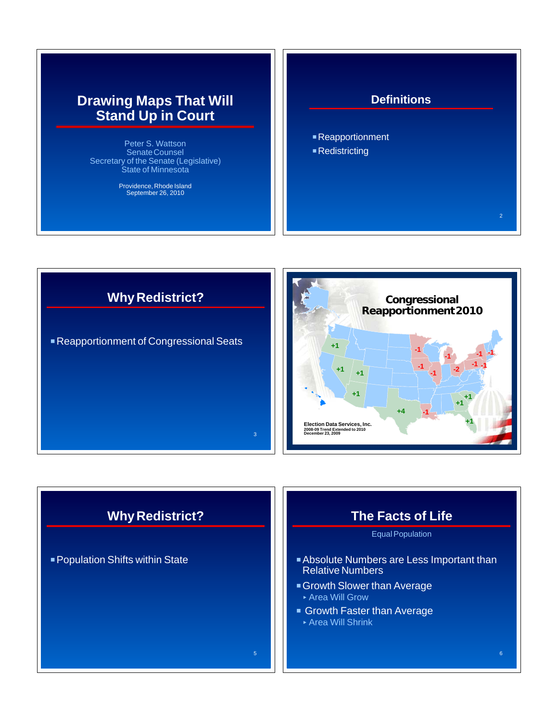# **Drawing Maps That Will Stand Up in Court**

Peter S. Wattson Senate Counsel Secretary of the Senate (Legislative) State of Minnesota

Providence, Rhode Island September 26, 2010

#### **Definitions**

2

■ Reapportionment  $\blacksquare$  Redistricting

**Why Redistrict?** ■ Reapportionment of Congressional Seats 3



# **Why Redistrict?**

**Population Shifts within State** 

# **The Facts of Life**

#### Equal Population

- **Absolute Numbers are Less Important than** Relative Numbers
- **Growth Slower than Average** < Area Will Grow
- **Growth Faster than Average** < Area Will Shrink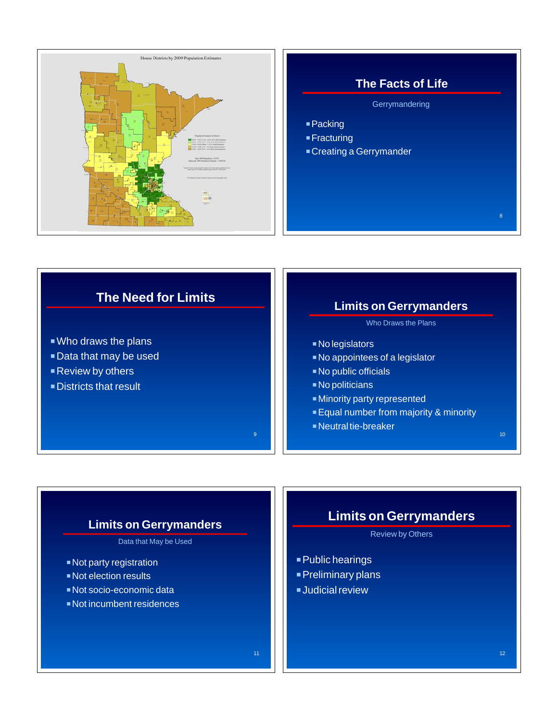

#### **The Facts of Life**

**Gerrymandering** 

- $\blacksquare$  Packing
- $\blacksquare$  Fracturing
- **Creating a Gerrymander**

## **The Need for Limits**

- $\blacksquare$  Who draws the plans
- **Data that may be used**
- $\blacksquare$  Review by others
- **Districts that result**

### **Limits on Gerrymanders**

Who Draws the Plans

- **No legislators**
- No appointees of a legislator
- No public officials
- $\blacksquare$  No politicians

9

- **Ninority party represented**
- **Equal number from majority & minority**
- **Neutral tie-breaker**

#### **Limits on Gerrymanders**

Data that May be Used

- $\blacksquare$  Not party registration
- **Not election results**
- PNot socio-economic data
- $\blacksquare$  Not incumbent residences

### **Limits on Gerrymanders**

#### Review by Others

- **Public hearings**
- **Preliminary plans**
- $\blacksquare$ Judicial review

8

10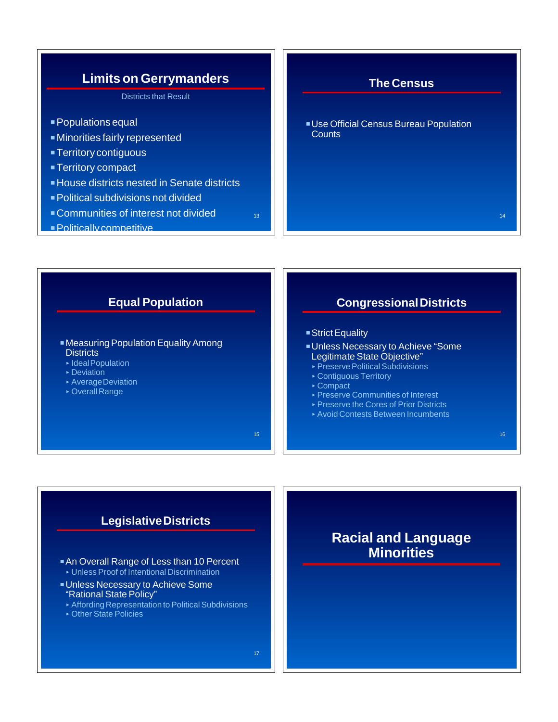



### **Legislative Districts**

- An Overall Range of Less than 10 Percent < Unless Proof of Intentional Discrimination
- **Unless Necessary to Achieve Some** "Rational State Policy"
- < Affording Representation to Political Subdivisions
- < Other State Policies

# **Racial and Language Minorities**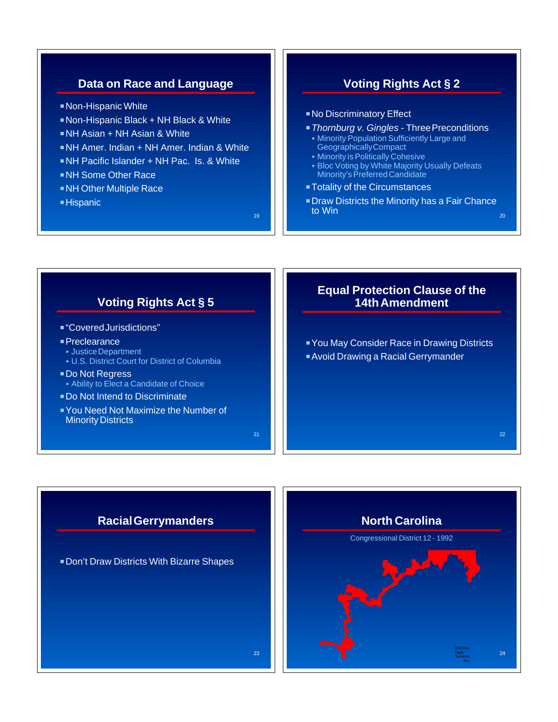### **Data on Race and Language**

- Non-Hispanic White
- Non-Hispanic Black + NH Black & White
- PNH Asian + NH Asian & White
- **NH Amer. Indian + NH Amer. Indian & White**
- PNH Pacific Islander + NH Pac. Is. & White
- **NH Some Other Race**
- **NH Other Multiple Race**
- $\blacksquare$  Hispanic

21

23

## **Voting Rights Act § 2**

- **No Discriminatory Effect**
- **F** Thornburg v. Gingles Three Preconditions
	- < Minority Population Sufficiently Large and Geographically Compact
	- < Minority is Politically Cohesive
	- < Bloc Voting by White Majority Usually Defeats Minority's Preferred Candidate
- **Totality of the Circumstances**
- **Draw Districts the Minority has a Fair Chance to Win** to Win  $_{20}$

#### **Voting Rights Act § 5**

- "Covered Jurisdictions"
- **Preclearance** 
	- < Justice Department
	- < U.S. District Court for District of Columbia
- Do Not Regress < Ability to Elect a Candidate of Choice
- Do Not Intend to Discriminate
- **PYou Need Not Maximize the Number of Minority Districts**

#### **Equal Protection Clause of the 14th Amendment**

**PYou May Consider Race in Drawing Districts Avoid Drawing a Racial Gerrymander** 

22

### **Racial Gerrymanders**

**Don't Draw Districts With Bizarre Shapes** 

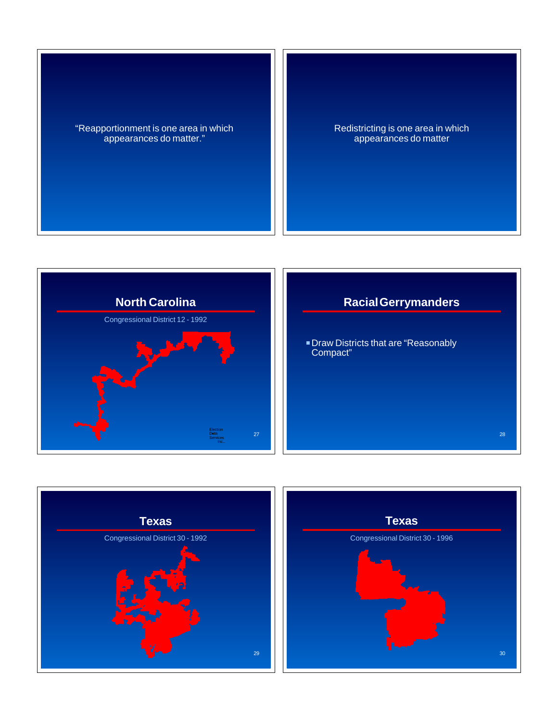"Reapportionment is one area in which appearances do matter."

Redistricting is one area in which appearances do matter



# **Racial Gerrymanders**

28

**Draw Districts that are "Reasonably** Compact"



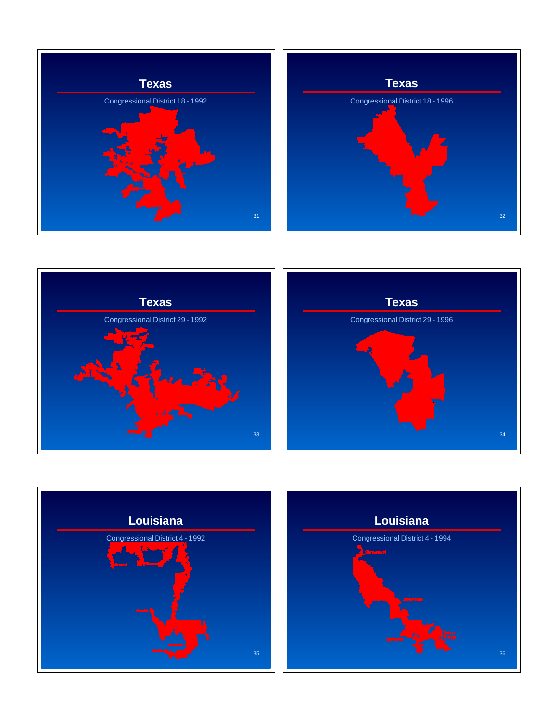





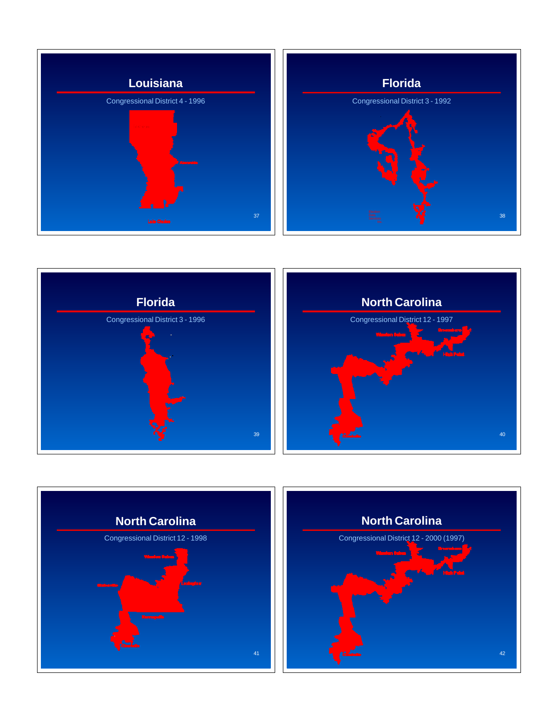





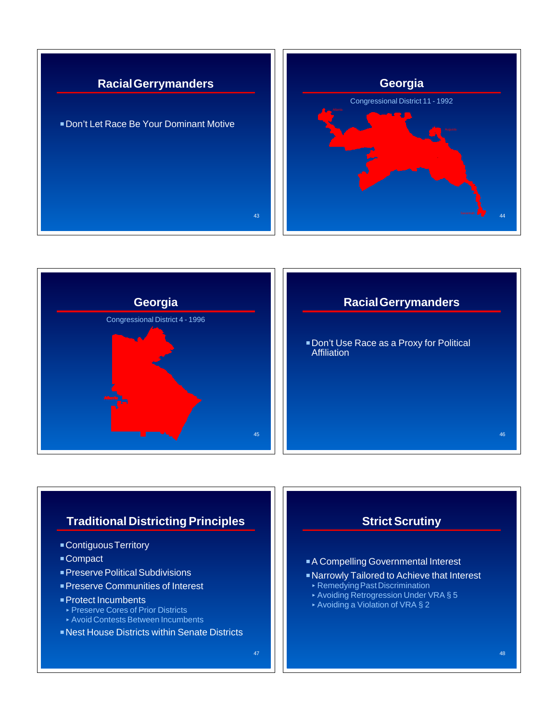





### **Racial Gerrymanders**

**Don't Use Race as a Proxy for Political Affiliation** 

# **Traditional Districting Principles**

- **Contiguous Territory**
- Compact
- **Preserve Political Subdivisions**
- **Preserve Communities of Interest**
- **Protect Incumbents**
- < Preserve Cores of Prior Districts
- < Avoid Contests Between Incumbents
- **Nest House Districts within Senate Districts**



- **A Compelling Governmental Interest**
- **Narrowly Tailored to Achieve that Interest**
- < Remedying Past Discrimination
- ▶ Avoiding Retrogression Under VRA § 5
- < Avoiding a Violation of VRA § 2

46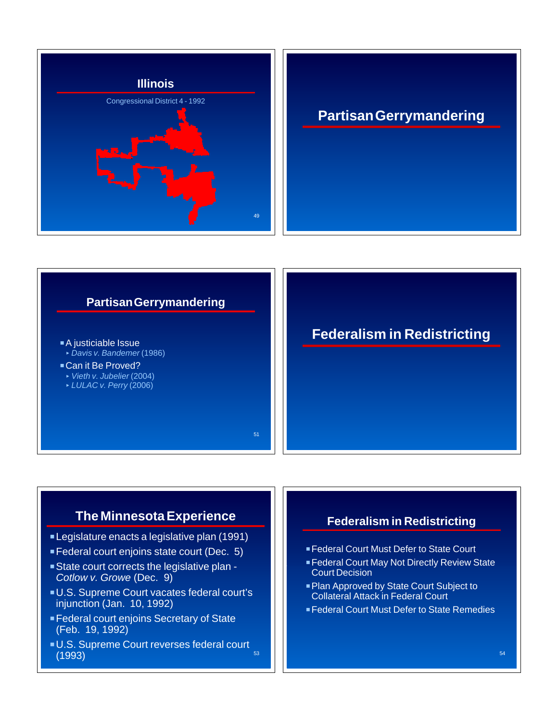



## **The Minnesota Experience**

- **Legislature enacts a legislative plan (1991)**
- **Federal court enjoins state court (Dec. 5)**
- State court corrects the legislative plan -*Cotlow v. Growe* (Dec. 9)
- U.S. Supreme Court vacates federal court's injunction (Jan. 10, 1992)
- **Federal court enjoins Secretary of State** (Feb. 19, 1992)
- U.S. Supreme Court reverses federal court  $(1993)$  53  $\,$  53  $\,$  53  $\,$  53  $\,$  53  $\,$  53  $\,$  53  $\,$  53  $\,$  53  $\,$  53  $\,$  53  $\,$  53  $\,$  53  $\,$  53  $\,$  53  $\,$  53  $\,$  53  $\,$  53  $\,$  53  $\,$  53  $\,$  53  $\,$  53  $\,$  53  $\,$  53  $\,$  53  $\,$  53  $\,$  53

#### **Federalism in Redistricting**

- **Federal Court Must Defer to State Court**
- **Federal Court May Not Directly Review State** Court Decision
- **Plan Approved by State Court Subject to** Collateral Attack in Federal Court
- **Federal Court Must Defer to State Remedies**